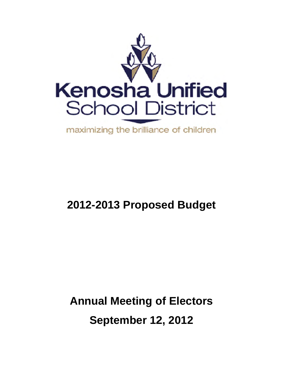

# **20 12-20 013 Pr ropos sed B Budge et**

# **Annual Meeting of Electors September 12, 2012**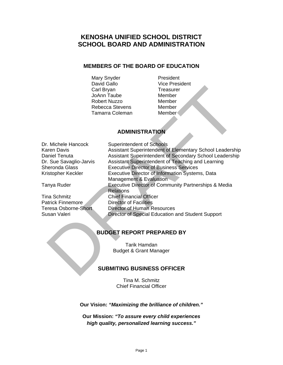### **KENOSHA UNIFIED SCHOOL DISTRICT SCHOOL BOARD AND ADMINISTRATION**

### **MEMBERS OF THE BOARD OF EDUCATION**

Mary Snyder **President** David Gallo **Vice President** Carl Bryan Treasurer JoAnn Taube Member Robert Nuzzo Member Rebecca Stevens Member Tamarra Coleman Member

### **ADMINISTRATION**

Dr. Michele Hancock Superintendent of Schools Karen Davis Assistant Superintendent of Elementary School Leadership Daniel Tenuta **Assistant Superintendent of Secondary School Leadership** Dr. Sue Savaglio-Jarvis Assistant Superintendent of Teaching and Learning Sheronda Glass Executive Director of Business Services Kristopher Keckler Executive Director of Information Systems, Data Management & Evaluation Tanya Ruder Executive Director of Community Partnerships & Media **Relations** Tina Schmitz Chief Financial Officer **Patrick Finnemore** Director of Facilities Teresa Osborne-Short Director of Human Resources David Galiton Taube<br>
Carl Biyan<br>
Carl Biyan<br>
Robert Nuzzo<br>
Robert Nuzzo<br>
Robert Nuzzo<br>
Member<br>
Tamarra Coleman<br>
ADMINISTRATION<br>
ADMINISTRATION<br>
ADMINISTRATION<br>
ASSistant Superintendent of Schools<br>
Assistant Superintendent

Susan Valeri Director of Special Education and Student Support

### **BUDGET REPORT PREPARED BY**

Tarik Hamdan Budget & Grant Manager

### **SUBMITING BUSINESS OFFICER**

Tina M. Schmitz Chief Financial Officer

**Our Vision:** *"Maximizing the brilliance of children."*

**Our Mission:** *"To assure every child experiences high quality, personalized learning success."*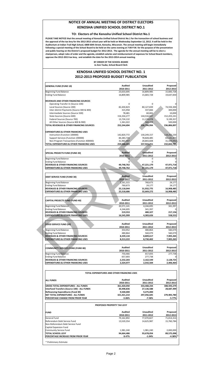#### **NOTICE OF ANNUAL MEETING OF DISTRICT ELECTORS KENOSHA UNIFIED SCHOOL DISTRICT NO.1**

#### **TO: Electors of the Kenosha Unified School District No.1**

PLEASE TAKE NOTICE that the annual meeting of Kenosha Unified School District No.1 for the transaction of school business and the approval of the tax levy for the 2012-2013 school year will be held on Wednesday September 12, 2012. It will be held in the Auditorium at Indian Trail High School, 6800 60th Street, Kenosha, Wisconsin. The annual meeting will begin immediately following a special meeting of the School Board to be held on the same evening at 7:00 P.M. for the purpose of the presentation and public hearing on the District's proposed budget for 2012-2013. The agenda for the annual meeting will be to elect a chairperson, adopt rules of order and the agenda, establish salaries and reimbursement of expenses for School Board members, **approve the 2012‐2013 tax levy, and establish the date for the 2013‐2014 annual meeting.**

> **BY ORDER OF THE SCHOOL BOARD Jo Ann Taube, School Board Clerk**

#### **KENOSHA UNIFIED SCHOOL DISTRICT NO. 1 2012‐2013 PROPOSED BUDGET PUBLICATION**

| <b>GENERAL FUND (FUND 10)</b>                                                                                                                                                                                                                                                             | <b>Audited</b><br>2010-2011 | <b>Unaudited</b><br>2011-2012 | Proposed<br>2012-2013   |
|-------------------------------------------------------------------------------------------------------------------------------------------------------------------------------------------------------------------------------------------------------------------------------------------|-----------------------------|-------------------------------|-------------------------|
| Beginning Fund Balance                                                                                                                                                                                                                                                                    | 23,633,695                  | 16,809,985                    | 15,683,728              |
| <b>Ending Fund Balance</b>                                                                                                                                                                                                                                                                | 16,809,985                  | 15,683,728                    | 19,647,830              |
|                                                                                                                                                                                                                                                                                           |                             |                               |                         |
| REVENUES AND OTHER FINANCING SOURCES                                                                                                                                                                                                                                                      |                             |                               |                         |
| Operating Transfer-In (Source 100)                                                                                                                                                                                                                                                        | $\mathbf 0$                 | 0                             | 0                       |
| Local Sources (Source 200)                                                                                                                                                                                                                                                                | 82,430,823                  | 80,127,839                    | 74,594,300              |
| Inter-district Payments (Source 300 & 400)                                                                                                                                                                                                                                                | 315,958                     | 337,666                       | 300,000                 |
| Intermediate Sources (Source 500)                                                                                                                                                                                                                                                         | 78,481                      | 60,065                        | 10,000                  |
| State Sources (Source 600)                                                                                                                                                                                                                                                                | 154,334,277                 | 144,534,847                   | 152,203,241             |
| Federal Sources (Source 700)                                                                                                                                                                                                                                                              | 13,724,132                  | 11,174,078                    | 9,199,357               |
| All Other Sources (Source 800 & 900)<br><b>TOTAL REVENUES &amp; OTHER FINANCING SOURCES</b>                                                                                                                                                                                               | 1,361,022                   | 560,499                       | 500,000                 |
|                                                                                                                                                                                                                                                                                           | 252,244,694                 | 236,794,994                   | 236,806,897             |
| <b>EXPENDITURES &amp; OTHER FINANCING USES</b>                                                                                                                                                                                                                                            |                             |                               |                         |
| Instruction (Function 100000)                                                                                                                                                                                                                                                             | 142,820,772                 | 130,249,157                   | 118,262,230             |
| Support Services (Function 200000)                                                                                                                                                                                                                                                        | 84,283,725                  | 78,828,485                    | 83,141,473              |
| Non-Program Transactions (Function 400000)                                                                                                                                                                                                                                                | 31,963,907                  | 28,843,608                    | 31,439,092              |
| TOTAL EXPENDITURES & OTHER FINANCING USES                                                                                                                                                                                                                                                 | 259,068,404                 | 237,921,251                   | 232,842,795             |
|                                                                                                                                                                                                                                                                                           |                             |                               |                         |
| SPECIAL PROJECTS FUND (FUND 20)                                                                                                                                                                                                                                                           | <b>Audited</b>              | <b>Unaudited</b>              | Proposed                |
|                                                                                                                                                                                                                                                                                           | 2010-2011                   | 2011-2012                     | 2012-2013               |
| Beginning Fund Balance<br><b>Ending Fund Balance</b>                                                                                                                                                                                                                                      | $\mathbf{0}$<br>0           | 0<br>0                        | 0<br>$\Omega$           |
| <b>REVENUES &amp; OTHER FINANCING SOURCES</b>                                                                                                                                                                                                                                             | 49,748,762                  | 47,221,179                    | 47,971,718              |
| <b>EXPENDITURES &amp; OTHER FINANCING USES</b>                                                                                                                                                                                                                                            | 49,748,762                  | 47,221,179                    | 47,971,718              |
|                                                                                                                                                                                                                                                                                           |                             |                               |                         |
| <b>DEBT SERVICE FUND (FUND 30)</b>                                                                                                                                                                                                                                                        | <b>Audited</b>              | <b>Unaudited</b>              | Proposed                |
|                                                                                                                                                                                                                                                                                           | 2010-2011                   | 2011-2012                     | 2012-2013               |
| Beginning Fund Balance                                                                                                                                                                                                                                                                    | 1,161,315                   | 760,673                       | 24,177                  |
| <b>Ending Fund Balance</b>                                                                                                                                                                                                                                                                | 760,673                     | 24,177                        | 24,177                  |
| <b>REVENUES &amp; OTHER FINANCING SOURCES</b>                                                                                                                                                                                                                                             | 25,118,044                  | 31,932,775                    | 16,908,485              |
| <b>EXPENDITURES &amp; OTHER FINANCING USES</b>                                                                                                                                                                                                                                            | 25,518,686                  | 32,669,272                    | 16,908,485              |
|                                                                                                                                                                                                                                                                                           |                             |                               |                         |
|                                                                                                                                                                                                                                                                                           | <b>Audited</b>              | <b>Unaudited</b>              | Proposed                |
| <b>CAPITAL PROJECTS FUND (FUND 40)</b>                                                                                                                                                                                                                                                    | 2010-2011                   | 2011-2012                     | 2012-2013               |
| Beginning Fund Balance                                                                                                                                                                                                                                                                    | 20,571,141                  | 4,244,695                     | 341,397                 |
| <b>Ending Fund Balance</b>                                                                                                                                                                                                                                                                | 4,244,695                   | 341,397                       | $\Omega$                |
| <b>REVENUES &amp; OTHER FINANCING SOURCES</b>                                                                                                                                                                                                                                             | 219,553                     | 480,327                       | 217,156                 |
| <b>EXPENDITURES &amp; OTHER FINANCING USES</b>                                                                                                                                                                                                                                            | 16,545,999                  | 4,383,626                     | 558,553                 |
|                                                                                                                                                                                                                                                                                           |                             |                               |                         |
|                                                                                                                                                                                                                                                                                           | <b>Audited</b>              | <b>Unaudited</b>              |                         |
| <b>FOOD SERVICE FUND (50)</b>                                                                                                                                                                                                                                                             |                             |                               | Proposed                |
|                                                                                                                                                                                                                                                                                           | 2010-2011                   | 2011-2012                     | 2012-2013               |
| Beginning Fund Balance                                                                                                                                                                                                                                                                    | 354,952                     | 480,864                       | 560,079                 |
| <b>Ending Fund Balance</b>                                                                                                                                                                                                                                                                | 480,864                     | 560,079                       | 560,079                 |
| <b>REVENUES &amp; OTHER FINANCING SOURCES</b>                                                                                                                                                                                                                                             | 8,339,134                   | 8,809,617                     | 7,905,265               |
| <b>EXPENDITURES &amp; OTHER FINANCING USES</b>                                                                                                                                                                                                                                            | 8,213,222                   | 8,730,402                     | 7,905,265               |
|                                                                                                                                                                                                                                                                                           |                             |                               |                         |
| <b>COMMUNITY SERVICES FUND (FUND 80)</b>                                                                                                                                                                                                                                                  | <b>Audited</b>              | <b>Unaudited</b>              | Proposed                |
|                                                                                                                                                                                                                                                                                           | 2010-2011                   | 2011-2012                     | 2012-2013               |
| Beginning Fund Balance                                                                                                                                                                                                                                                                    | 750,466                     | 657,693                       | 277,738                 |
| <b>Ending Fund Balance</b>                                                                                                                                                                                                                                                                | 657,693                     | 277,738                       | 0                       |
| <b>REVENUES &amp; OTHER FINANCING SOURCES</b>                                                                                                                                                                                                                                             |                             |                               |                         |
|                                                                                                                                                                                                                                                                                           | 2,232,203                   | 2,162,549                     | 2,128,725               |
|                                                                                                                                                                                                                                                                                           | 2,324,977                   | 2,542,504                     | 2,406,464               |
|                                                                                                                                                                                                                                                                                           |                             |                               |                         |
| TOTAL EXPENDITURES AND OTHER FINANCING USES                                                                                                                                                                                                                                               |                             |                               |                         |
|                                                                                                                                                                                                                                                                                           | <b>Audited</b>              | <b>Unaudited</b>              | Proposed                |
|                                                                                                                                                                                                                                                                                           | 2010-2011                   | 2011-2012                     | 2012-2013               |
|                                                                                                                                                                                                                                                                                           | 361,420,050                 | 333,468,234                   | 308,593,279             |
|                                                                                                                                                                                                                                                                                           | 30,498,836                  | 27,136,588                    | 28,687,499              |
|                                                                                                                                                                                                                                                                                           | 9,500,000                   | 9,275,000                     |                         |
|                                                                                                                                                                                                                                                                                           | 321,421,214                 | 297,056,645                   | 279,905,780             |
|                                                                                                                                                                                                                                                                                           | $-5.06%$                    | $-7.58%$                      | $-5.77%$                |
| PROPOSED PROPERTY TAX LEVY                                                                                                                                                                                                                                                                |                             |                               |                         |
| <b>EXPENDITURES &amp; OTHER FINANCING USES</b><br><b>ALL FUNDS</b><br><b>GROSS TOTAL EXPENDITURES - ALL FUNDS</b><br>Interfund Transfers (Source 100) - ALL FUNDS<br><b>Refinancing Expenditures (Fund 30)</b><br>NET TOTAL EXPENDITURES - ALL FUNDS<br>PERCENTAGE CHANGE FROM PRIOR YEAR |                             |                               |                         |
| <b>FUND</b>                                                                                                                                                                                                                                                                               | Audited                     | <b>Unaudited</b>              | Proposed                |
|                                                                                                                                                                                                                                                                                           | 2010-2011                   | 2011-2012                     | 2012-2013               |
| General Fund                                                                                                                                                                                                                                                                              | 79,162,892                  | 77,070,827                    | 71,814,314              |
| Referendum Debt Service Fund                                                                                                                                                                                                                                                              | 13,520,354                  | 14,625,987                    | 15,760,784              |
| Non-Referendum Debt Service Fund                                                                                                                                                                                                                                                          |                             |                               |                         |
| Capital Expansion Fund                                                                                                                                                                                                                                                                    |                             |                               |                         |
| Community Service Fund<br><b>TOTAL SCHOOL LEVY</b>                                                                                                                                                                                                                                        | 1,981,240<br>94,664,486     | 1,981,240<br>93,678,054       | 2,000,000<br>89,575,098 |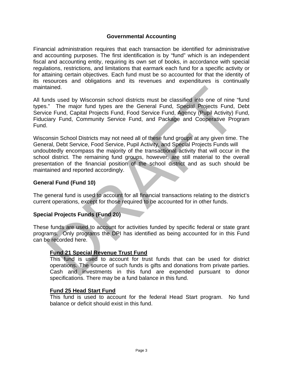### **Governmental Accounting**

Financial administration requires that each transaction be identified for administrative and accounting purposes. The first identification is by "fund" which is an independent fiscal and accounting entity, requiring its own set of books, in accordance with special regulations, restrictions, and limitations that earmark each fund for a specific activity or for attaining certain objectives. Each fund must be so accounted for that the identity of its resources and obligations and its revenues and expenditures is continually maintained.

All funds used by Wisconsin school districts must be classified into one of nine "fund types." The major fund types are the General Fund, Special Projects Fund, Debt Service Fund, Capital Projects Fund, Food Service Fund, Agency (Pupil Activity) Fund, Fiduciary Fund, Community Service Fund, and Package and Cooperative Program Fund.

Wisconsin School Districts may not need all of these fund groups at any given time. The General, Debt Service, Food Service, Pupil Activity, and Special Projects Funds will undoubtedly encompass the majority of the transactional activity that will occur in the school district. The remaining fund groups, however, are still material to the overall presentation of the financial position of the school district and as such should be maintained and reported accordingly. trained.<br>
trained.<br>
The major fund types are the General Fund, Special into one of nine "fund<br>
"The major fund types are the General Fund, Special Projects Fund, Debt<br>
cice Fund, Community Service Fund, Food Service Fund,

### **General Fund (Fund 10)**

The general fund is used to account for all financial transactions relating to the district's current operations, except for those required to be accounted for in other funds.

#### **Special Projects Funds (Fund 20)**

These funds are used to account for activities funded by specific federal or state grant programs. Only programs the DPI has identified as being accounted for in this Fund can be recorded here.

### **Fund 21 Special Revenue Trust Fund**

This fund is used to account for trust funds that can be used for district operations. The source of such funds is gifts and donations from private parties. Cash and investments in this fund are expended pursuant to donor specifications. There may be a fund balance in this fund.

#### **Fund 25 Head Start Fund**

This fund is used to account for the federal Head Start program. No fund balance or deficit should exist in this fund.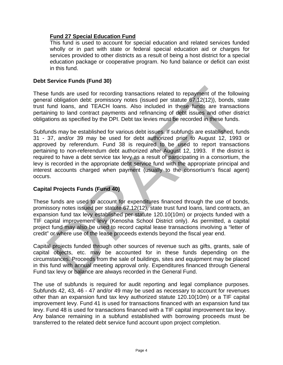### **Fund 27 Special Education Fund**

This fund is used to account for special education and related services funded wholly or in part with state or federal special education aid or charges for services provided to other districts as a result of being a host district for a special education package or cooperative program. No fund balance or deficit can exist in this fund.

### **Debt Service Funds (Fund 30)**

These funds are used for recording transactions related to repayment of the following general obligation debt: promissory notes (issued per statute 67.12(12)), bonds, state trust fund loans, and TEACH loans. Also included in these funds are transactions pertaining to land contract payments and refinancing of debt issues and other district obligations as specified by the DPI. Debt tax levies must be recorded in these funds.

Subfunds may be established for various debt issues. If subfunds are established, funds 31 - 37, and/or 39 may be used for debt authorized prior to August 12, 1993 or approved by referendum. Fund 38 is required to be used to report transactions pertaining to non-referendum debt authorized after August 12, 1993. If the district is required to have a debt service tax levy as a result of participating in a consortium, the levy is recorded in the appropriate debt service fund with the appropriate principal and interest accounts charged when payment (usually to the consortium's fiscal agent) occurs. e funds are used for recording transactions related to repayment of the following<br>ral obligation debit: promissory notes (issued per statute 67.12(12)), bonds, state<br>fund loans, and TEACH loans. Also included in these fund

### **Capital Projects Funds (Fund 40)**

These funds are used to account for expenditures financed through the use of bonds, promissory notes issued per statute 67.12(12), state trust fund loans, land contracts, an expansion fund tax levy established per statute 120.10(10m) or projects funded with a TIF capital improvement levy (Kenosha School District only). As permitted, a capital project fund may also be used to record capital lease transactions involving a "letter of credit" or where use of the lease proceeds extends beyond the fiscal year end.

Capital projects funded through other sources of revenue such as gifts, grants, sale of capital objects, etc. may be accounted for in these funds depending on the circumstances. Proceeds from the sale of buildings, sites and equipment may be placed in this fund with annual meeting approval only. Expenditures financed through General Fund tax levy or balance are always recorded in the General Fund.

The use of subfunds is required for audit reporting and legal compliance purposes. Subfunds 42, 43, 46 - 47 and/or 49 may be used as necessary to account for revenues other than an expansion fund tax levy authorized statute 120.10(10m) or a TIF capital improvement levy. Fund 41 is used for transactions financed with an expansion fund tax levy. Fund 48 is used for transactions financed with a TIF capital improvement tax levy. Any balance remaining in a subfund established with borrowing proceeds must be transferred to the related debt service fund account upon project completion.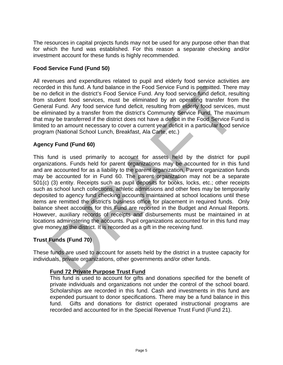The resources in capital projects funds may not be used for any purpose other than that for which the fund was established. For this reason a separate checking and/or investment account for these funds is highly recommended.

### **Food Service Fund (Fund 50)**

All revenues and expenditures related to pupil and elderly food service activities are recorded in this fund. A fund balance in the Food Service Fund is permitted. There may be no deficit in the district's Food Service Fund. Any food service fund deficit, resulting from student food services, must be eliminated by an operating transfer from the General Fund. Any food service fund deficit, resulting from elderly food services, must be eliminated by a transfer from the district's Community Service Fund. The maximum that may be transferred if the district does not have a deficit in the Food Service Fund is limited to an amount necessary to cover a current year deficit in a particular food service program (National School Lunch, Breakfast, Ala Carte, etc.)

### **Agency Fund (Fund 60)**

This fund is used primarily to account for assets held by the district for pupil organizations. Funds held for parent organizations may be accounted for in this fund and are accounted for as a liability to the parent organization. Parent organization funds may be accounted for in Fund 60. The parent organization may not be a separate 501(c) (3) entity. Receipts such as pupil deposits for books, locks, etc.; other receipts such as school lunch collections, athletic admissions and other fees may be temporarily deposited to agency fund checking accounts maintained at school locations until these items are remitted the district's business office for placement in required funds. Only balance sheet accounts for this Fund are reported in the Budget and Annual Reports. However, auxiliary records of receipts and disbursements must be maintained in at locations administering the accounts. Pupil organizations accounted for in this fund may give money to the district. It is recorded as a gift in the receiving fund. ded in this fund. A fund balance in the Food Service Fund is permitted. There may ofericit in the district's Food Service Fund Any food service suddentid, resulting the station station station and deficit, resulting from e

### **Trust Funds (Fund 70)**

These funds are used to account for assets held by the district in a trustee capacity for individuals, private organizations, other governments and/or other funds.

### **Fund 72 Private Purpose Trust Fund**

This fund is used to account for gifts and donations specified for the benefit of private individuals and organizations not under the control of the school board. Scholarships are recorded in this fund. Cash and investments in this fund are expended pursuant to donor specifications. There may be a fund balance in this fund. Gifts and donations for district operated instructional programs are recorded and accounted for in the Special Revenue Trust Fund (Fund 21).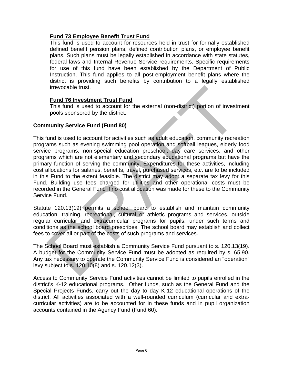### **Fund 73 Employee Benefit Trust Fund**

This fund is used to account for resources held in trust for formally established defined benefit pension plans, defined contribution plans, or employee benefit plans. Such plans must be legally established in accordance with state statutes, federal laws and Internal Revenue Service requirements. Specific requirements for use of this fund have been established by the Department of Public Instruction. This fund applies to all post-employment benefit plans where the district is providing such benefits by contribution to a legally established irrevocable trust.

### **Fund 76 Investment Trust Fund**

This fund is used to account for the external (non-district) portion of investment pools sponsored by the district.

### **Community Service Fund (Fund 80)**

This fund is used to account for activities such as adult education, community recreation programs such as evening swimming pool operation and softball leagues, elderly food service programs, non-special education preschool, day care services, and other programs which are not elementary and secondary educational programs but have the primary function of serving the community. Expenditures for these activities, including cost allocations for salaries, benefits, travel, purchased services, etc. are to be included in this Fund to the extent feasible. The district may adopt a separate tax levy for this Fund. Building use fees charged for utilities and other operational costs must be recorded in the General Fund if no cost allocation was made for these to the Community Service Fund. irrevocable trust.<br> **Fund 76 Investment Trust Fund**<br>
This fund is used to account for the external (non-district) portion of investment<br>
Thois through sponsored by the district.<br> **munity Service Fund (Fund 80)**<br>
fund is us

Statute 120.13(19) permits a school board to establish and maintain community education, training, recreational, cultural or athletic programs and services, outside regular curricular and extracurricular programs for pupils, under such terms and conditions as the school board prescribes. The school board may establish and collect fees to cover all or part of the costs of such programs and services.

The School Board must establish a Community Service Fund pursuant to s. 120.13(19). A budget for the Community Service Fund must be adopted as required by s. 65.90. Any tax necessary to operate the Community Service Fund is considered an "operation" levy subject to s. 120.10(8) and s. 120.12(3).

Access to Community Service Fund activities cannot be limited to pupils enrolled in the district's K-12 educational programs. Other funds, such as the General Fund and the Special Projects Funds, carry out the day to day K-12 educational operations of the district. All activities associated with a well-rounded curriculum (curricular and extracurricular activities) are to be accounted for in these funds and in pupil organization accounts contained in the Agency Fund (Fund 60).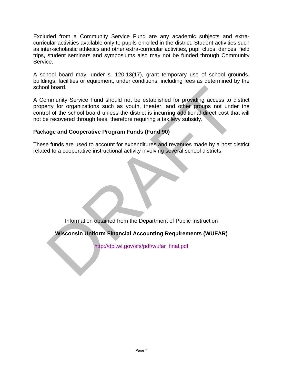Excluded from a Community Service Fund are any academic subjects and extracurricular activities available only to pupils enrolled in the district. Student activities such as inter-scholastic athletics and other extra-curricular activities, pupil clubs, dances, field trips, student seminars and symposiums also may not be funded through Community Service.

A school board may, under s. 120.13(17), grant temporary use of school grounds, buildings, facilities or equipment, under conditions, including fees as determined by the school board.

A Community Service Fund should not be established for providing access to district property for organizations such as youth, theater, and other groups not under the control of the school board unless the district is incurring additional direct cost that will not be recovered through fees, therefore requiring a tax levy subsidy. of board.<br>
Summunity Service Fund should not be established for providing access to district<br>
Service for organizations such as youth, theater, and other groups not under the<br>
e recovered through fees, therefore requiring

### **Package and Cooperative Program Funds (Fund 90)**

These funds are used to account for expenditures and revenues made by a host district related to a cooperative instructional activity involving several school districts.

Information obtained from the Department of Public Instruction

**Wisconsin Uniform Financial Accounting Requirements (WUFAR)** 

http://dpi.wi.gov/sfs/pdf/wufar\_final.pdf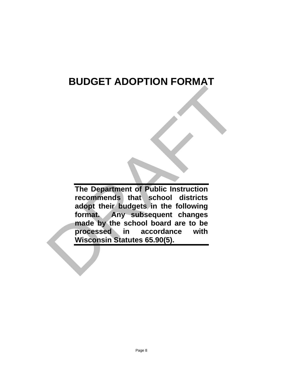## **BUDGET ADOPTION FORMAT**

**The Department of Public Instruction recommends that school districts adopt their budgets in the following format. Any subsequent changes made by the school board are to be processed in accordance with Wisconsin Statutes 65.90(5).** The Department of Public Instruction<br>recommends that school districts<br>adopt their budgets in the following<br>format. Any subsequent changes<br>made by the school board are to be<br>processed in accordance with<br>Wisconsin Statutes 6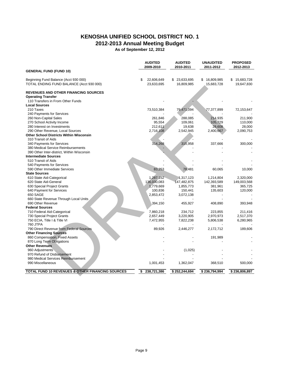### **KENOSHA UNIFIED SCHOOL DISTRICT NO. 1**

**2012-2013 Annual Meeting Budget**

**As of September 12, 2012**

|                                                                                   | <b>AUDITED</b><br>2009-2010    | <b>AUDITED</b><br>2010-2011 | <b>UNAUDITED</b><br>2011-2012 | <b>PROPOSED</b><br>2012-2013   |
|-----------------------------------------------------------------------------------|--------------------------------|-----------------------------|-------------------------------|--------------------------------|
| <b>GENERAL FUND (FUND 10)</b>                                                     |                                |                             |                               |                                |
| Beginning Fund Balance (Acct 930 000)<br>TOTAL ENDING FUND BALANCE (Acct 930 000) | \$<br>22,606,649<br>23,633,695 | \$23,633,695<br>16,809,985  | \$16,809,985<br>15,683,728    | 15,683,728<br>\$<br>19,647,830 |
| <b>REVENUES AND OTHER FINANCING SOURCES</b>                                       |                                |                             |                               |                                |
| <b>Operating Transfer</b>                                                         |                                |                             |                               |                                |
| 110 Transfers in From Other Funds                                                 |                                |                             |                               |                                |
| <b>Local Sources</b><br>210 Taxes                                                 |                                | 79,471,094                  |                               |                                |
| 240 Payments for Services                                                         | 73,510,384                     |                             | 77,377,899                    | 72,153,647                     |
| 260 Non-Capital Sales                                                             | 261,846                        | 288,085                     | 214,935                       | 211,900                        |
| 270 School Activity Income                                                        | 95,554                         | 109,061                     | 105,729                       | 110,000                        |
| 280 Interest on Investments                                                       | 212,611                        | 19,638                      | 28,608                        | 28,000                         |
| 290 Other Revenue, Local Sources                                                  | 2,716,108                      | 2,542,945                   | 2,400,667                     | 2,090,753                      |
| <b>Other School Districts Within Wisconsin</b>                                    |                                |                             |                               |                                |
| 310 Transit of Aids                                                               |                                |                             |                               |                                |
| 340 Payments for Services                                                         | 314,268                        | 315,958                     | 337,666                       | 300,000                        |
| 380 Medical Service Reimbursements                                                |                                |                             |                               |                                |
| 390 Other Inter-district, Within Wisconsin                                        |                                |                             |                               |                                |
| <b>Intermediate Sources</b>                                                       |                                |                             |                               |                                |
| 510 Transit of Aids                                                               |                                |                             |                               |                                |
| 540 Payments for Services                                                         |                                |                             |                               |                                |
| 590 Other Immediate Services                                                      | 83,253                         | 78,481                      | 60,065                        | 10,000                         |
| <b>State Sources</b>                                                              |                                |                             |                               |                                |
| 610 State Aid-Categorical                                                         | 1,287,152                      | 1,317,123                   | 1,214,804                     | 2,320,000                      |
| 620 State Aid-General                                                             | 136,030,083                    | 147,482,875                 | 142,393,589                   | 149,003,568                    |
| 630 Special Project Grants                                                        | 1,779,669                      | 1,855,773                   | 381,961                       | 365,725                        |
| 640 Payment for Services<br>650 SAGE                                              | 100,836<br>2,853,472           | 150,441                     | 135,603                       | 120,000                        |
| 660 State Revenue Through Local Units                                             |                                | 3,072,138                   |                               |                                |
| 690 Other Revenue                                                                 | 394,150                        | 455,927                     | 408,890                       | 393,948                        |
| <b>Federal Sources</b>                                                            |                                |                             |                               |                                |
| 710 Federal Aid-Categorical                                                       | 7,860,218                      | 234.712                     | 223,855                       | 211,416                        |
| 730 Special Project Grants                                                        | 2,657,449                      | 3,220,905                   | 2,970,973                     | 2,517,370                      |
| 750 ECIA, Title I & Title VI                                                      | 7,472,955                      | 7,822,238                   | 5,806,538                     | 6,280,965                      |
| 760 JTPA                                                                          |                                |                             |                               |                                |
| 790 Direct Revenue from Federal Sources                                           | 89,926                         | 2,446,277                   | 2,172,712                     | 189,606                        |
| <b>Other Financing Sources</b>                                                    |                                |                             |                               |                                |
| 860 Compensation, Fixed Assets                                                    |                                |                             | 191,989                       |                                |
| 870 Long Term Obligations                                                         |                                |                             |                               |                                |
| <b>Other Revenues</b>                                                             |                                |                             |                               |                                |
| 960 Adjustments                                                                   |                                | (1,025)                     |                               |                                |
| 970 Refund of Disbursement                                                        |                                |                             |                               |                                |
| 980 Medical Services Reimbursement                                                |                                |                             |                               |                                |
| 990 Miscellaneous                                                                 | 1,001,453                      | 1,362,047                   | 368,510                       | 500,000                        |
| TOTAL FUND 10 REVENUES & OTHER FINANCING SOURCES                                  | 238,721,386<br>\$              | \$252,244,694               | \$236,794,994                 | \$236,806,897                  |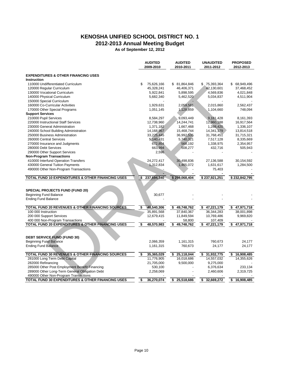### **KENOSHA UNIFIED SCHOOL DISTRICT NO. 1**

**2012-2013 Annual Meeting Budget**

**As of September 12, 2012**

|                                                            | <b>AUDITED</b>         | <b>AUDITED</b>         | <b>UNAUDITED</b>       | <b>PROPOSED</b>        |
|------------------------------------------------------------|------------------------|------------------------|------------------------|------------------------|
|                                                            | 2009-2010              | 2010-2011              | 2011-2012              | 2012-2013              |
| <b>EXPENDITURES &amp; OTHER FINANCING USES</b>             |                        |                        |                        |                        |
| <b>Instruction</b>                                         |                        |                        |                        |                        |
| 110000 Undifferentiated Curriculum                         | \$<br>75,626,166       | \$ 81,864,846          | \$75,393,364           | 68,949,496<br>\$       |
| 120000 Regular Curriculum                                  | 45,328,241             | 46,406,371             | 42,130,601             | 37,468,452             |
|                                                            |                        |                        |                        |                        |
| 130000 Vocational Curriculum<br>140000 Physical Curriculum | 5,922,841<br>5,682,340 | 5,898,595<br>5,462,520 | 4,569,836<br>5,034,837 | 4,021,848<br>4,511,904 |
|                                                            |                        |                        |                        |                        |
| 150000 Special Curriculum                                  |                        |                        |                        |                        |
| 160000 Co-Curricular Activities                            | 1,929,631              | 2,059,581              | 2,015,860              | 2,562,437              |
| 170000 Other Special Programs                              | 1,051,145              | 1,128,859              | 1,104,660              | 748,094                |
| <b>Support Services</b>                                    |                        |                        |                        |                        |
| 210000 Pupil Services                                      | 8,584,297              | 9,093,449              | 9,181,428              | 8,161,393              |
| 220000 Instructional Staff Services                        | 12,738,960             | 14,244,741             | 12,960,188             | 16,917,564             |
| 230000 General Administration                              | 1,371,182              | 1,667,468              | 1,288,420              | 1,336,107              |
| 240000 School Building Administration                      | 14,168,967             | 15,468,744             | 14,341,179             | 13,814,518             |
| 250000 Business Administration                             | 33,225,445             | 36,992,535             | 31,768,451             | 31,715,321             |
| 260000 Central Services                                    | 5,140,431              | 5,740,321              | 7,517,128              | 8,335,669              |
| 270000 Insurance and Judgments                             | 672,854                | 568,192                | 1,338,975              | 2,354,957              |
| 280000 Debt Services                                       | 663,994                | 508,277                | 432,716                | 505,943                |
| 290000 Other Support Services                              | 2,596                  |                        |                        |                        |
| <b>Non-Program Transactions</b>                            |                        |                        |                        |                        |
| 410000 Interfund Operation Transfers                       | 24,272,417             | 30,498,836             | 27,136,588             | 30,154,592             |
| 430000 General Tuition Payments                            | 1,312,834              | 1,465,072              | 1,631,617              | 1,284,500              |
| 490000 Other Non-Program Transactions                      |                        |                        | 75,403                 |                        |
|                                                            |                        |                        |                        |                        |
| TOTAL FUND 10 EXPENDITURES & OTHER FINANCING USES          | 237,694,340<br>S.      | \$259,068,404          | \$237,921,251          | \$232,842,795          |
|                                                            |                        |                        |                        |                        |
|                                                            |                        |                        |                        |                        |
| <b>SPECIAL PROJECTS FUND (FUND 20)</b>                     |                        |                        |                        |                        |
| Beginning Fund Balance                                     | 30,677                 |                        |                        |                        |
| <b>Ending Fund Balance</b>                                 |                        |                        |                        |                        |
|                                                            |                        |                        |                        |                        |
| TOTAL FUND 20 REVENUES & OTHER FINANCING SOURCES           | 48,540,306<br>\$       | 49,748,762<br>\$       | 47,221,179<br>\$       | \$<br>47,971,718       |
| 100 000 Instruction                                        | 35,891,568             | 37,840,367             | 36,344,283             | 38,001,898             |
| 200 000 Support Services                                   | 12,679,415             | 11,849,594             | 10,769,486             | 9,969,820              |
| 400 000 Non-Program Transactions                           |                        | 58,800                 | 107,409                |                        |
| TOTAL FUND 20 EXPENDITURES & OTHER FINANCING USES          | 48,570,983<br>\$       | 49,748,762<br>\$       | \$47,221,179           | \$<br>47,971,718       |
|                                                            |                        |                        |                        |                        |
|                                                            |                        |                        |                        |                        |
| <b>DEBT SERVICE FUND (FUND 30)</b>                         |                        |                        |                        |                        |
| <b>Beginning Fund Balance</b>                              | 2,066,359              | 1,161,315              | 760,673                | 24,177                 |
| <b>Ending Fund Balance</b>                                 | 1,161,315              | 760,673                | 24,177                 | 24,177                 |
|                                                            |                        |                        |                        |                        |
| TOTAL FUND 30 REVENUES & OTHER FINANCING SOURCES           | \$<br>35,365,029       | 25,118,044<br>\$       | \$<br>31,932,775       | 16,908,485<br>\$       |
| 281000 Long Term Debt Capital                              | 11,776,905             | 16,018,686             | 14,557,032             | 14,355,626             |
| 282000 Refinancing                                         | 21,705,000             | 9,500,000              | 9,275,000              |                        |
| 285000 Other Post Employment Benefit Financing             | 530,100                |                        | 6,376,634              | 233,134                |
| 289000 Other Long-Term General Obligation Debt             | 2,258,069              |                        | 2,460,606              | 2,319,725              |
| 490000 Other Non-Program Transactions                      |                        |                        |                        |                        |
| TOTAL FUND 30 EXPENDITURES & OTHER FINANCING USES          | 36,270,074<br>\$       | 25,518,686<br>\$       | 32,669,272<br>\$       | 16,908,485<br>\$       |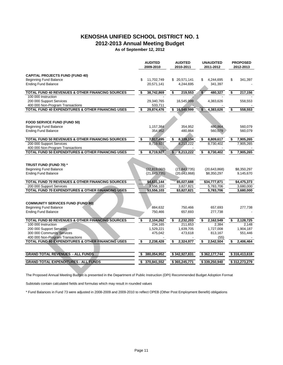### **KENOSHA UNIFIED SCHOOL DISTRICT NO. 1**

**2012-2013 Annual Meeting Budget**

**As of September 12, 2012**

|                                                                                                                                  | <b>AUDITED</b><br>2009-2010 | <b>AUDITED</b><br>2010-2011 |            | <b>UNAUDITED</b><br>2011-2012 | <b>PROPOSED</b><br>2012-2013 |
|----------------------------------------------------------------------------------------------------------------------------------|-----------------------------|-----------------------------|------------|-------------------------------|------------------------------|
| <b>CAPITAL PROJECTS FUND (FUND 40)</b>                                                                                           |                             |                             |            |                               |                              |
| <b>Beginning Fund Balance</b>                                                                                                    | \$<br>11,702,749            | \$20,571,141                | \$         | 4.244.695                     | \$<br>341,397                |
| <b>Ending Fund Balance</b>                                                                                                       | 20,571,141                  | 4,244,695                   |            | 341,397                       |                              |
| TOTAL FUND 40 REVENUES & OTHER FINANCING SOURCES                                                                                 | \$<br>38,742,869            | \$<br>219,553               | $\sqrt{2}$ | 480,327                       | \$<br>217,156                |
| 100 000 Instruction                                                                                                              |                             |                             |            |                               |                              |
| 200 000 Support Services<br>400 000 Non-Program Transactions                                                                     | 29,340,765<br>533,711       | 16,545,999                  |            | 4,383,626                     | 558,553                      |
| TOTAL FUND 40 EXPENDITURES & OTHER FINANCING USES                                                                                | \$<br>29,874,476            | \$<br>16,545,999            | \$         | 4,383,626                     | \$<br>558,553                |
|                                                                                                                                  |                             |                             |            |                               |                              |
| <b>FOOD SERVICE FUND (FUND 50)</b>                                                                                               |                             |                             |            |                               |                              |
| <b>Beginning Fund Balance</b>                                                                                                    | 1,157,384                   | 354,952                     |            | 480,864                       | 560,079                      |
| <b>Ending Fund Balance</b>                                                                                                       | 354,952                     | 480,864                     |            | 560,079                       | 560,079                      |
| TOTAL FUND 50 REVENUES & OTHER FINANCING SOURCES                                                                                 | \$<br>7,917,495             | \$<br>8,339,134             | \$         | 8,809,617                     | \$<br>7,905,265              |
| 200 000 Support Services                                                                                                         | 8,719,927                   | 8,213,222                   |            | 8,730,402                     | 7,905,265                    |
| 400 000 Non-Program Transactions                                                                                                 |                             |                             |            |                               |                              |
| TOTAL FUND 50 EXPENDITURES & OTHER FINANCING USES                                                                                | \$<br>8,719,927             | \$<br>8,213,222             | \$         | 8,730,402                     | \$<br>7,905,265              |
|                                                                                                                                  |                             |                             |            |                               |                              |
| TRUST FUND (FUND 70) *                                                                                                           |                             |                             |            |                               |                              |
| <b>Beginning Fund Balance</b>                                                                                                    | (22, 819, 060)              | (21, 843, 735)              |            | (20, 643, 868)                | \$8,350,297                  |
| <b>Ending Fund Balance</b>                                                                                                       | (21, 843, 735)              | (20, 643, 868)              |            | \$8,350,297                   | 9,145,670                    |
| TOTAL FUND 70 REVENUES & OTHER FINANCING SOURCES                                                                                 | \$4,631,144                 | \$5,027,688                 |            | \$34,777,871                  | \$4,475,373                  |
| 200 000 Support Services                                                                                                         | 3,556,103                   | 3,827,821                   |            | 5,783,706                     | 3,680,000                    |
| TOTAL FUND 70 EXPENDITURES & OTHER FINANCING USES                                                                                | \$3,556,103                 | \$3,827,821                 |            | 5,783,706                     | 3,680,000                    |
| <b>COMMUNITY SERVICES FUND (FUND 80)</b>                                                                                         |                             |                             |            |                               |                              |
| <b>Beginning Fund Balance</b>                                                                                                    | 884,632                     | 750.466                     |            | 657,693                       | 277,738                      |
| <b>Ending Fund Balance</b>                                                                                                       | 750,466                     | 657,693                     |            | 277,738                       |                              |
| TOTAL FUND 80 REVENUES & OTHER FINANCING SOURCES                                                                                 | \$<br>2,104,262             | \$<br>2,232,203             | \$         | 2,162,549                     | \$<br>2,128,725              |
| 100 000 Instruction                                                                                                              | 234,165                     | 211,653                     |            | 2.384                         | 2.148                        |
| 200 000 Support Services                                                                                                         | 1,529,221                   | 1,639,705                   |            | 1,727,008                     | 1,904,187                    |
| 300 000 Community Services                                                                                                       | 475,042                     | 473,618                     |            | 813,167                       | 551,446                      |
| 400 000 Non-Program Transactions                                                                                                 |                             |                             |            | (55)                          |                              |
| TOTAL FUND 80 EXPENDITURES & OTHER FINANCING USES                                                                                | \$<br>2,238,428             | \$<br>2,324,977             | \$         | 2,542,504                     | \$<br>2,406,464              |
| <b>GRAND TOTAL REVENUES - ALL FUNDS</b>                                                                                          | \$<br>380,054,952           | \$342,927,831               |            | \$362,177,744                 | \$316,413,618                |
| <b>GRAND TOTAL EXPENDITURES - ALL FUNDS</b>                                                                                      | \$<br>370,841,552           | \$365,245,771               |            | \$339,250,940                 | \$312,273,279                |
|                                                                                                                                  |                             |                             |            |                               |                              |
| The Proposed Annual Meeting Budget is presented in the Department of Public Instruction (DPI) Recommended Budget Adoption Format |                             |                             |            |                               |                              |

The Proposed Annual Meeting Budget is presented in the Department of Public Instruction (DPI) Recommended Budget Adoption Format

Subtotals contain calculated fields and formulas which may result in rounded values

\* Fund Balances in Fund 73 were adjusted in 2008-2009 and 2009-2010 to reflect OPEB (Other Post Employment Benefit) obligations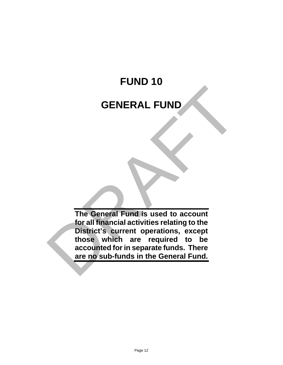# **FUND 10 GENERAL FUND**

**The General Fund is used to account for all financial activities relating to the District's current operations, except those which are required to be accounted for in separate funds. There are no sub-funds in the General Fund.** GENERAL FUND<br>The General Fund is used to account<br>for all financial activities relating to the<br>bistrict's current operations, except<br>those which are required to be<br>accounted for in separate funds. There<br>are no sub-funds in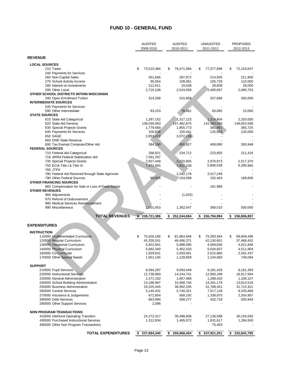#### **FUND 10 - GENERAL FUND**

|                                                   | <b>AUDITED</b><br>2009-2010 |    | <b>AUDITED</b><br>2010-2011 | <b>UNAUDITED</b><br>2011-2012 | <b>PROPOSED</b><br>2012-2013 |
|---------------------------------------------------|-----------------------------|----|-----------------------------|-------------------------------|------------------------------|
| <b>REVENUE</b>                                    |                             |    |                             |                               |                              |
| <b>LOCAL SOURCES</b>                              |                             |    |                             |                               |                              |
| 210 Taxes                                         | \$<br>73,510,384            | \$ | 79,471,094                  | \$<br>77,377,899              | \$<br>72,153,647             |
| 240 Payments for Services                         |                             |    |                             |                               |                              |
| 260 Non-Capital Sales                             | 261,846                     |    | 287,972                     | 214,935                       | 211,900                      |
| 270 School Activity Income                        | 95,554                      |    | 109,061                     | 105,729                       | 110,000                      |
| 280 Interest on Investments                       | 212,611                     |    | 19,638                      | 28,608                        | 28,000                       |
| 290 Other Local                                   | 2,716,108                   |    | 2,543,058                   | 2,400,667                     | 2,090,753                    |
| OTHER SCHOOL DISTRICTS WITHIN WISCONSIN           |                             |    |                             |                               |                              |
| 340 Open Enrollment Tuition                       | 314,268                     |    | 315,958                     | 337,666                       | 300,000                      |
| <b>INTERMEDIATE SOURCES</b>                       |                             |    |                             |                               |                              |
| 540 Payments for Services                         |                             |    |                             |                               |                              |
| 590 Other Intermediate                            | 83,253                      |    | 78,481                      | 60,065                        | 10,000                       |
| <b>STATE SOURCES</b>                              |                             |    |                             |                               |                              |
| 610 State Aid Categorical                         | 1,287,152                   |    | 1,317,123                   | 1,214,804                     | 2,320,000                    |
| 620 State Aid General                             | 136,030,083                 |    | 147,482,875                 | 142,393,589                   | 149,003,568                  |
| 630 Special Projects Grants                       | 1,779,669                   |    | 1,855,773                   | 381,961                       | 365,725                      |
| 640 Payments for Services                         | 100,836                     |    | 150,441                     | 135,603                       | 120,000                      |
| 650 SAGE                                          | 2,853,472                   |    | 3,072,138                   |                               |                              |
| 660 DNR State Revenue                             |                             |    |                             |                               |                              |
| 690 Tax Exempt Computer/Other Aid                 | 394,150                     |    | 455,927                     | 408,890                       | 393,948                      |
| <b>FEDERAL SOURCES</b>                            |                             |    |                             |                               |                              |
| 710 Federal Aid Categorical                       | 268,921                     |    | 234,712                     | 223,855                       | 211,416                      |
| 718 ARRA Federal Stabilization Aid                | 7,591,297                   |    |                             |                               |                              |
| 730 Special Projects Grants                       | 2,657,449                   |    | 3,220,905                   | 2,970,973                     | 2,517,370                    |
| 750 ECIA Title I & Title VI                       | 7,472,955                   |    | 7,822,238                   | 5,806,538                     | 6,280,965                    |
| <b>760 JTPA</b>                                   |                             |    |                             |                               |                              |
| 780 Federal Aid Received through State Agencies   |                             |    | 2,292,178                   | 2,017,249                     |                              |
| 790 Other Federal Sources                         | 89,926                      |    | 154,099                     | 155,463                       | 189,606                      |
| <b>OTHER FINANCING SOURCES</b>                    |                             |    |                             |                               |                              |
| 860 Compensation for Sale or Loss of Fixed Assets |                             |    |                             | 191,989                       |                              |
| <b>OTHER REVENUES</b>                             |                             |    |                             |                               |                              |
| 960 Adjustments                                   |                             |    | (1,025)                     |                               |                              |
| 970 Refund of Disbursement                        |                             |    |                             |                               |                              |
| 980 Medical Services Reimbursement                |                             |    |                             |                               |                              |
| 990 Miscellaneous                                 | 1,001,453                   |    | 1,362,047                   | 368,510                       | 500,000                      |
| <b>TOTAL REVENUES</b>                             | \$238,721,386               | \$ | 252,244,694                 | \$<br>236,794,994             | \$<br>236,806,897            |
| <b>EXPENDITURES</b>                               |                             |    |                             |                               |                              |
|                                                   |                             |    |                             |                               |                              |
| <b>INSTRUCTION</b>                                |                             |    |                             |                               |                              |
| 110000 Undiferentiated Curriculum                 | \$<br>75,626,166            | \$ | 81,864,846                  | \$<br>75,393,364              | \$<br>68,949,496             |
| 120000 Regular Curriculum                         | 45,328,241                  |    | 46,406,371                  | 42,130,601                    | 37,468,452                   |
| 130000 Vocational Curriculum                      | 5,922,841                   |    | 5,898,595                   | 4,569,836                     | 4,021,848                    |
| 140000 Physical Curriculum                        | 5,682,340                   |    | 5,462,520                   | 5,034,837                     | 4,511,904                    |
| 160000 Co-Curricular                              | 1,929,631                   |    | 2,059,581                   | 2,015,860                     | 2,562,437                    |
| 170000 Other Special Needs                        | 1,051,145                   |    | 1,128,859                   | 1,104,660                     | 748,094                      |
|                                                   |                             |    |                             |                               |                              |
| <b>SUPPORT</b>                                    |                             |    |                             |                               |                              |
| 210000 Pupil Services                             | 8,584,297                   |    | 9,093,449                   | 9,181,428                     | 8,161,393                    |
| 220000 Instructional Services                     | 12,738,960                  |    | 14,244,741                  | 12,960,188                    | 16,917,564                   |
| 230000 General Administration                     | 1,371,182                   |    | 1,667,468                   | 1,288,420                     | 1,336,107                    |
| 240000 School Building Administration             | 14,168,967                  |    | 15,468,744                  | 14,341,179                    | 13,814,518                   |
| 250000 Business Administration                    | 33,225,445                  |    | 36,992,535                  | 31,768,451                    | 31,715,321                   |
| 260000 Central Services                           | 5,140,431                   |    | 5,740,321                   | 7,517,128                     | 8,335,669                    |
| 270000 Insurance & Judgements                     | 672,854                     |    | 568,192                     | 1,338,975                     | 2,354,957                    |
| 280000 Debt Services                              | 663,994                     |    | 508,277                     | 432,716                       | 505,943                      |
| 290000 Other Support Services                     | 2,596                       |    |                             |                               |                              |
| <b>NON PROGRAM TRANSACTIONS</b>                   |                             |    |                             |                               |                              |
| 410000 Interfund Operating Transfers              | 24,272,417                  |    | 30,498,836                  | 27,136,588                    | 30,154,592                   |
| 430000 Purchased Instructional Services           | 1,312,834                   |    | 1,465,072                   | 1,631,617                     | 1,284,500                    |
| 490000 Other Non Program Transactions             |                             |    |                             | 75,403                        |                              |
|                                                   |                             |    |                             |                               |                              |
| <b>TOTAL EXPENDITURES</b>                         | \$237,694,340               | \$ | 259,068,404                 | \$<br>237,921,251             | \$232,842,795                |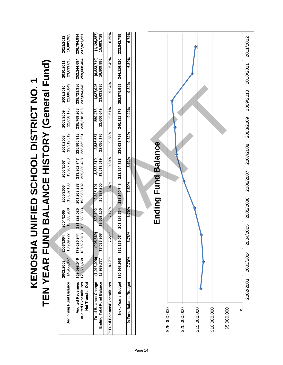**TEN YEAR FUND BALANCE HISTORY (General Fund)** KENOSHA UNIFIED SCHOOL DISTRICT NO. 1 **KENOSHA UNIFIED SCHOOL DISTRICT NO. 1**

|                                                                             | Beginning Fund Balance                                                     | NDL KKU - NU -<br>14,955,867<br>2002/2003 | $\overline{\phantom{0}}$<br>2003/2004<br>13,939,777 | 13,033,908<br>2004/2005    | 13,662,100<br>2005/2006    | 15,987,200<br>2006/2007    | 19,519,519<br>2007/2008    | 22,056,176<br>2008/2009    | 22,606,649<br>2009/2010    | 23,633,695<br>(DII)L IRI9II9D) 」 KD I のIL UJZ∀J∀Д<br>2010/2011 | 16,809,85<br>2011/2012      |
|-----------------------------------------------------------------------------|----------------------------------------------------------------------------|-------------------------------------------|-----------------------------------------------------|----------------------------|----------------------------|----------------------------|----------------------------|----------------------------|----------------------------|----------------------------------------------------------------|-----------------------------|
|                                                                             | <b>Audited Revenues</b><br><b>Audited Expenditures</b><br>Net Transfer Out | 169,592,549<br>170,608,639                | ≖ ವ<br>179,626,94<br>180,532,81                     | 191,292,025<br>190,663,833 | 201,263,283<br>198,938,182 | 209,830,428<br>213,362,747 | 225,865,918<br>223,329,261 | 235,769,268<br>235,218,796 | 238,721,386<br>237,694,340 | 252,244,694<br>259,068,404                                     | 236,794,994<br>237,921,251  |
| Ending Total Fund Balance                                                   | Fund Balance Change                                                        | (1,016,090)<br>13,939,777                 | $(905,869)$<br>13,033,908                           | 628,192<br>13,662,100      | 15,987,200<br>2,325,101    | 19,519,519<br>3,532,319    | 22,056,176<br>2,536,657    | 22,606,649<br>550,473      | 1,027,046<br>23,633,695    | (6, 823, 710)<br>16,809,985                                    | (1, 126, 257)<br>15,683,728 |
| % Fund Balance/Expenditures                                                 |                                                                            | 8.17%                                     | 7.22%                                               | 7.17%                      | 8.04%                      | 9.30%                      | 9.88%                      | 9.61%                      | 9.94%                      | 6.49%                                                          | 6.59%                       |
|                                                                             |                                                                            | Next Year's Budget 180,958,968            | Ā<br>192,196,03                                     | 201,186,764                | 213,240,748                | 223,954,723                | 236,633,798                | 240,111,376                | 252,975,959                | 244,116,920                                                    | 232,842,795                 |
|                                                                             | % Fund Balance/Budget                                                      | 7.70%                                     | 6.78%                                               | 6.79%                      | 7.50%                      | 8.72%                      | 9.32%                      | 9.42%                      | 9.34%                      | 6.89%                                                          | 6.74%                       |
| \$20,000,000<br>\$15,000,000<br>\$25,000,000<br>\$10,000,000<br>\$5,000,000 |                                                                            |                                           |                                                     |                            |                            | Ending Fund Balance        |                            |                            |                            |                                                                |                             |
| မှ                                                                          |                                                                            |                                           |                                                     |                            |                            |                            |                            |                            |                            |                                                                |                             |
|                                                                             | 2002/2003                                                                  | 2003/2004                                 | <b>V2005</b><br>2004                                | 2005/2006                  | 2006/2007                  |                            | 2007/2008                  | 2008/2009                  | 2009/2010                  | 2010/2011                                                      | 2011/2012                   |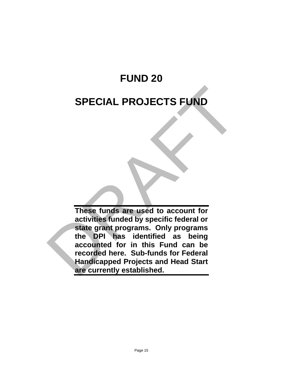# **FUND 20**

### **SPECIAL PROJECTS FUND**

**These funds are used to account for activities funded by specific federal or state grant programs. Only programs the DPI has identified as being accounted for in this Fund can be recorded here. Sub-funds for Federal Handicapped Projects and Head Start are currently established.**  SPECIAL PROJECTS FUND<br>
These funds are used to account for<br>
activities funds due avec to account for<br>
activities funded by specific federal or<br>
state grant programs. Only programs<br>
the DPI has identified as being<br>
accounte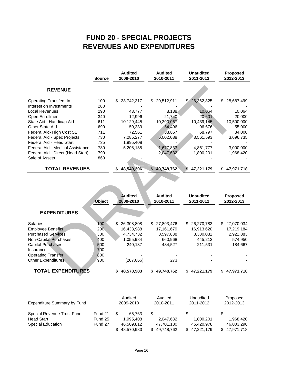### **REVENUES AND EXPENDITURES FUND 20 - SPECIAL PROJECTS**

|                                   | <b>Source</b> | <b>Audited</b><br>2009-2010 | <b>Audited</b><br>2010-2011 | <b>Unaudited</b><br>2011-2012    | <b>Proposed</b><br>2012-2013 |
|-----------------------------------|---------------|-----------------------------|-----------------------------|----------------------------------|------------------------------|
| <b>REVENUE</b>                    |               |                             |                             |                                  |                              |
| <b>Operating Transfers In</b>     | 100           | 23,742,317<br>\$.           | 29,512,911<br>S             | 26,362,325<br>\$.                | 28,687,499<br>\$             |
| Interest on Investments           | 280           |                             |                             |                                  |                              |
| <b>Local Revenues</b>             | 290           | 43,777                      | 8,138                       | 10,064                           | 10,064                       |
| Open Enrollment                   | 340           | 12,996                      | 21,740                      | 20,601                           | 20,000                       |
| State Aid - Handicap Aid          | 611           | 10,129,445                  | 10,390,067                  | 10,439,145                       | 10,500,000                   |
| <b>Other State Aid</b>            | 690           | 50,339                      | 54,496                      | 96,676                           | 55,000                       |
| Federal Aid-High Cost SE          | 711           | 72,561                      | 33,857                      | 68,797                           | 34,000                       |
| Federal Aid - Spec Projects       | 730           | 7,285,277                   | 6,002,088                   | 3,561,593                        | 3,696,735                    |
| Federal Aid - Head Start          | 735           | 1,995,408                   |                             |                                  |                              |
| Federal Aid - Medical Assistance  | 780           | 5,208,185                   | 1,677,833                   | 4,861,777                        | 3,000,000                    |
| Federal Aid - Direct (Head Start) | 790           |                             | 2,047,632                   | 1,800,201                        | 1,968,420                    |
| Sale of Assets                    | 860           |                             |                             |                                  |                              |
| <b>TOTAL REVENUES</b>             |               | 48,540,306<br>\$            | 49,748,762<br>\$            | $\mathbf{\hat{s}}$<br>47,221,179 | 47,971,718<br>\$             |
|                                   |               |                             |                             |                                  |                              |
|                                   |               |                             |                             |                                  |                              |
|                                   |               |                             |                             |                                  |                              |
|                                   |               |                             |                             |                                  |                              |
|                                   |               | <b>Audited</b>              | <b>Audited</b>              | <b>Unaudited</b>                 | <b>Proposed</b>              |
|                                   | Object        | 2009-2010                   | 2010-2011                   | 2011-2012                        | 2012-2013                    |
|                                   |               |                             |                             |                                  |                              |
| <b>EXPENDITURES</b>               |               |                             |                             |                                  |                              |
| <b>Salaries</b>                   | 100           | 26,308,808<br>\$            | 27,893,476<br>S             | \$26,270,783                     | \$ 27,070,034                |
| <b>Employee Benefits</b>          | 200           | 16,438,988                  | 17,161,679                  | 16,913,620                       | 17,219,184                   |
| <b>Purchased Services</b>         | 300           | 4,734,732                   | 3,597,838                   | 3,380,032                        | 2,922,883                    |
| <b>Non-Capital Purchases</b>      | 400           | 1,055,984                   | 660,968                     | 445,213                          | 574,950                      |
| <b>Capital Purchases</b>          | 500           | 240,137                     | 434,527                     | 211,531                          | 184,667                      |
| Insurance                         | 700           |                             |                             |                                  |                              |
| <b>Operating Transfer</b>         | 800           |                             |                             |                                  |                              |
| <b>Other Expenditures</b>         | 900           | (207, 666)                  | 273                         |                                  |                              |
|                                   |               |                             |                             |                                  |                              |
| <b>TOTAL EXPENDITURES</b>         |               | \$48,570,983                | 49,748,762<br>S.            | \$47,221,179                     | \$47,971,718                 |

|                                                                                                                                                                                                      | Object                                                            | Audited<br>2009-2010                                                               | <b>Audited</b><br>2010-2011                                           | <b>Unaudited</b><br>2011-2012                                     | <b>Proposed</b><br>2012-2013                                      |
|------------------------------------------------------------------------------------------------------------------------------------------------------------------------------------------------------|-------------------------------------------------------------------|------------------------------------------------------------------------------------|-----------------------------------------------------------------------|-------------------------------------------------------------------|-------------------------------------------------------------------|
| <b>EXPENDITURES</b>                                                                                                                                                                                  |                                                                   |                                                                                    |                                                                       |                                                                   |                                                                   |
| <b>Salaries</b><br><b>Employee Benefits</b><br><b>Purchased Services</b><br><b>Non-Capital Purchases</b><br><b>Capital Purchases</b><br>Insurance<br><b>Operating Transfer</b><br>Other Expenditures | 100<br>200 <sub>1</sub><br>300<br>400<br>500<br>700<br>800<br>900 | 26,308,808<br>\$.<br>16,438,988<br>4.734.732<br>1,055,984<br>240.137<br>(207, 666) | \$ 27,893,476<br>17,161,679<br>3,597,838<br>660,968<br>434.527<br>273 | 26,270,783<br>S.<br>16,913,620<br>3,380,032<br>445.213<br>211.531 | \$<br>27,070,034<br>17,219,184<br>2,922,883<br>574,950<br>184.667 |
| <b>TOTAL EXPENDITURES</b>                                                                                                                                                                            |                                                                   | 48.570.983<br>S.                                                                   | 49,748,762                                                            | 47.221.179<br>S                                                   | 47,971,718<br>S                                                   |

| <b>Expenditure Summary by Fund</b> |         | Audited<br>2009-2010 | Audited<br>2010-2011 |    | Unaudited<br>2011-2012 |     | Proposed<br>2012-2013    |
|------------------------------------|---------|----------------------|----------------------|----|------------------------|-----|--------------------------|
| Special Revenue Trust Fund         | Fund 21 | 65.763               | ٠                    |    |                        |     | $\overline{\phantom{0}}$ |
| <b>Head Start</b>                  | Fund 25 | 1.995.408            | 2.047.632            |    | 1.800.201              |     | 1.968.420                |
| <b>Special Education</b>           | Fund 27 | 46,509,812           | 47,701,130           |    | 45.420.978             |     | 46,003,298               |
|                                    |         | 48,570,983           | 49,748,762           | S. | 47,221,179             | \$. | 47,971,718               |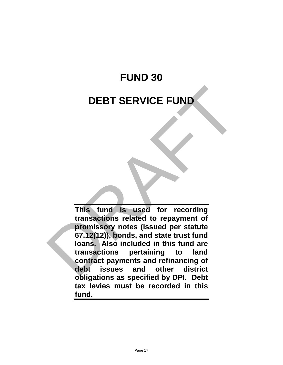# **FUND 30**

### **DEBT SERVICE FUND**

**This fund is used for recording transactions related to repayment of promissory notes (issued per statute 67.12(12)), bonds, and state trust fund loans. Also included in this fund are transactions pertaining to land contract payments and refinancing of debt issues and other district obligations as specified by DPI. Debt tax levies must be recorded in this fund.** DEBT SERVICE FUND<br>
This fund is used for recording<br>
transactions related to repayment of<br>
promissory notes (issued per statute<br>
67.12(12)), bonds, and state trust fund<br>
loans. Also included in this fund are<br>
transactions p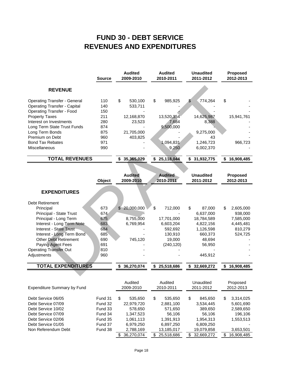### **REVENUES AND EXPENDITURES FUND 30 - DEBT SERVICE**

|                                     | <b>Source</b> | <b>Audited</b><br>2009-2010 | <b>Audited</b><br>2010-2011 | <b>Unaudited</b><br>2011-2012 | <b>Proposed</b><br>2012-2013 |
|-------------------------------------|---------------|-----------------------------|-----------------------------|-------------------------------|------------------------------|
| <b>REVENUE</b>                      |               |                             |                             |                               |                              |
| <b>Operating Transfer - General</b> | 110           | \$<br>530,100               | \$<br>985,925               | \$<br>774,264                 | \$                           |
| <b>Operating Transfer - Capital</b> | 140           | 533,711                     |                             |                               |                              |
| <b>Operating Transfer - Food</b>    | 150           |                             |                             |                               |                              |
| <b>Property Taxes</b>               | 211           | 12,168,870                  | 13,520,354                  | 14,625,987                    | 15,941,761                   |
| Interest on Investments             | 280           | 23,523                      | 7,684                       | 8,388                         |                              |
| Long Term State Trust Funds         | 874           |                             | 9,500,000                   |                               |                              |
| Long Term Bonds                     | 875           | 21,705,000                  |                             | 9,275,000                     |                              |
| Premium on Debt                     | 960           | 403,825                     |                             | 43                            |                              |
| <b>Bond Tax Rebates</b>             | 971           |                             | 1,094,831                   | 1,246,723                     | 966,723                      |
| Miscellaneous                       | 990           |                             | 9,250                       | 6,002,370                     |                              |
| <b>TOTAL REVENUES</b>               |               | 35,365,029<br>S             | 25,118,044                  | 31,932,775                    | 16,908,485<br>\$             |

| <b>REVENUE</b>                      |        |              |                             |                             |               |                               |                              |
|-------------------------------------|--------|--------------|-----------------------------|-----------------------------|---------------|-------------------------------|------------------------------|
| <b>Operating Transfer - General</b> | 110    | \$           | 530,100                     | \$<br>985,925               | $\frac{1}{2}$ | 774,264                       | \$                           |
| <b>Operating Transfer - Capital</b> | 140    |              | 533,711                     |                             |               |                               |                              |
| <b>Operating Transfer - Food</b>    | 150    |              |                             |                             |               |                               |                              |
| <b>Property Taxes</b>               | 211    |              | 12,168,870                  | 13,520,354                  |               | 14,625,987                    | 15,941,761                   |
| Interest on Investments             | 280    |              | 23,523                      | 7,684                       |               | 8,388                         |                              |
| Long Term State Trust Funds         | 874    |              |                             | 9,500,000                   |               |                               |                              |
| Long Term Bonds                     | 875    |              | 21,705,000                  |                             |               | 9,275,000                     |                              |
| Premium on Debt                     | 960    |              | 403,825                     |                             |               | 43                            |                              |
| <b>Bond Tax Rebates</b>             | 971    |              |                             | 1,094,831                   |               | 1,246,723                     | 966,723                      |
| Miscellaneous                       | 990    |              |                             | 9,250                       |               | 6,002,370                     |                              |
| <b>TOTAL REVENUES</b>               |        |              | \$35,365,029                | \$<br>25,118,044            | \$            | 31,932,775                    | \$<br>16,908,485             |
|                                     | Object |              | <b>Audited</b><br>2009-2010 | <b>Audited</b><br>2010-2011 |               | <b>Unaudited</b><br>2011-2012 | <b>Proposed</b><br>2012-2013 |
| <b>EXPENDITURES</b>                 |        |              |                             |                             |               |                               |                              |
| <b>Debt Retirement</b>              |        |              |                             |                             |               |                               |                              |
| Principal                           | 673    | $\mathbb{S}$ | 20,000,000                  | \$<br>712,000               | \$            | 87,000                        | \$<br>2,605,000              |
| Principal - State Trust             | 674    |              |                             |                             |               | 6,637,000                     | 938,000                      |
| Principal - Long Term               | 675    |              | 8,755,000                   | 17.701.000                  |               | 18,784,589                    | 7,585,000                    |
| Interest - Long Term Note           | 683    |              | 6,769,954                   | 6,603,204                   |               | 4,822,156                     | 4,445,481                    |
| <b>Interest - State Trust</b>       | 684    |              |                             | 592,692                     |               | 1,126,598                     | 810,279                      |
| Interest - Long Term Bond           | 685    |              |                             | 130,910                     |               | 660,373                       | 524,725                      |
| <b>Other Debt Retirement</b>        | 690    |              | 745,120                     | 19,000                      |               | 48,694                        |                              |
| Paying Agent Fees                   | 691    |              |                             | (240, 120)                  |               | 56,950                        |                              |
| <b>Operating Transfer Out</b>       | 810    |              |                             |                             |               |                               |                              |
|                                     |        |              |                             |                             |               |                               |                              |
| Adjustments                         | 960    |              |                             |                             |               | 445,912                       |                              |
| <b>TOTAL EXPENDITURES</b>           |        |              | \$36,270,074                | \$<br>25,518,686            | S.            | 32,669,272                    | 16,908,485                   |

| <b>Expenditure Summary by Fund</b> |         | Audited<br>2009-2010 |     | Audited<br>2010-2011 |    | Unaudited<br>2011-2012 |    | Proposed<br>2012-2013 |
|------------------------------------|---------|----------------------|-----|----------------------|----|------------------------|----|-----------------------|
| Debt Service 06/05                 | Fund 31 | \$<br>535.650        | \$  | 535,650              | \$ | 845.650                | \$ | 3,314,025             |
| Debt Service 07/09                 | Fund 32 | 22,979,720           |     | 2,881,100            |    | 3,534,445              |    | 5,601,690             |
| Debt Service 10/02                 | Fund 33 | 578,650              |     | 571,650              |    | 389,650                |    | 2,589,650             |
| Debt Service 07/09                 | Fund 34 | 1,347,523            |     | 56.106               |    | 56.106                 |    | 196,106               |
| Debt Service 02/06                 | Fund 35 | 1,061,113            |     | 1,391,913            |    | 1,954,313              |    | 1,553,513             |
| Debt Service 01/05                 | Fund 37 | 6,979,250            |     | 6,897,250            |    | 6,809,250              |    |                       |
| Non Referendum Debt                | Fund 38 | 2,788,169            |     | 13,185,017           |    | 19,079,858             |    | 3,653,501             |
|                                    |         | 36.270.074           | \$. | 25.518.686           | S. | 32,669,272             | S  | 16,908,485            |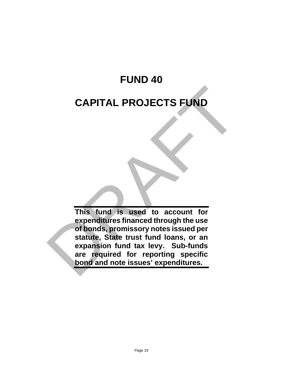# **FUND 40**

## **CAPITAL PROJECTS FUND**

**This fund is used to account for expenditures financed through the use of bonds, promissory notes issued per statute, State trust fund loans, or an expansion fund tax levy. Sub-funds are required for reporting specific bond and note issues' expenditures.** CAPITAL PROJECTS FUND<br>
This fund is used to account for<br>
expenditures financed through the use<br>
of bonds, promissory notes issued per<br>
statute, State trust fund loans, or an<br>
expansion fund tax levy. Sub-funds<br>
are require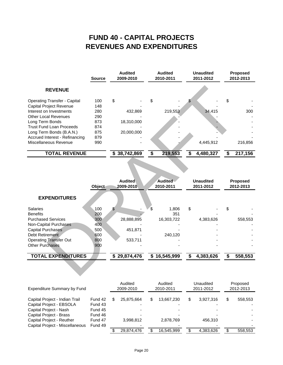### **REVENUES AND EXPENDITURES FUND 40 - CAPITAL PROJECTS**

|                                     | <b>Source</b> | <b>Audited</b><br>2009-2010 | <b>Audited</b><br>2010-2011 |         | <b>Unaudited</b><br>2011-2012 |    | <b>Proposed</b><br>2012-2013 |  |
|-------------------------------------|---------------|-----------------------------|-----------------------------|---------|-------------------------------|----|------------------------------|--|
| <b>REVENUE</b>                      |               |                             |                             |         |                               |    |                              |  |
| <b>Operating Transfer - Capital</b> | 100           | \$                          | \$                          |         |                               | \$ |                              |  |
| <b>Capital Project Revenue</b>      | 148           |                             |                             |         |                               |    |                              |  |
| Interest on Investments             | 280           | 432,869                     |                             | 219,553 | 34.415                        |    | 300                          |  |
| Other Local Revenues                | 290           |                             |                             |         |                               |    |                              |  |
| Long Term Bonds                     | 873           | 18,310,000                  |                             |         |                               |    |                              |  |
| <b>Trust Fund Loan Proceeds</b>     | 874           |                             |                             |         |                               |    |                              |  |
| Long Term Bonds (B.A.N.)            | 875           | 20,000,000                  |                             |         |                               |    |                              |  |
| Accrued Interest - Refinancing      | 879           |                             |                             |         |                               |    |                              |  |
| Miscellaneous Revenue               | 990           |                             |                             |         | 4,445,912                     |    | 216,856                      |  |
| <b>TOTAL REVENUE</b>                |               | \$38,742,869                |                             | 219,553 | 4,480,327                     |    | 217,156                      |  |

| <b>REVENUE</b>                        |               |                             |                             |                               |                       |
|---------------------------------------|---------------|-----------------------------|-----------------------------|-------------------------------|-----------------------|
| <b>Operating Transfer - Capital</b>   | 100           | \$                          | \$                          | \$                            | \$                    |
| <b>Capital Project Revenue</b>        | 148           |                             |                             |                               |                       |
| Interest on Investments               | 280           | 432,869                     | 219,553                     | 34,415                        | 300                   |
| <b>Other Local Revenues</b>           | 290           |                             |                             |                               |                       |
| Long Term Bonds                       | 873           | 18,310,000                  |                             |                               |                       |
| <b>Trust Fund Loan Proceeds</b>       | 874           |                             |                             |                               |                       |
| Long Term Bonds (B.A.N.)              | 875           | 20,000,000                  |                             |                               |                       |
| <b>Accrued Interest - Refinancing</b> | 879           |                             |                             |                               |                       |
| Miscellaneous Revenue                 | 990           |                             |                             | 4,445,912                     | 216,856               |
| <b>TOTAL REVENUE</b>                  |               | \$38,742,869                | \$<br>219,553               | \$<br>4,480,327               | \$<br>217,156         |
| <b>EXPENDITURES</b>                   | <b>Object</b> | <b>Audited</b><br>2009-2010 | <b>Audited</b><br>2010-2011 | <b>Unaudited</b><br>2011-2012 | Proposed<br>2012-2013 |
|                                       |               |                             |                             |                               |                       |
| <b>Salaries</b>                       | 100           | $\sqrt[6]{\frac{1}{2}}$     | \$<br>1,806                 | \$                            | \$                    |
| <b>Benefits</b>                       | 200           |                             | 351                         |                               |                       |
| <b>Purchased Services</b>             | 300           | 28,888,895                  | 16,303,722                  | 4,383,626                     | 558,553               |
| <b>Non-Capital Purchases</b>          | 400           |                             |                             |                               |                       |
| <b>Capital Purchases</b>              | 500           | 451,871                     |                             |                               |                       |
| Debt Retirement                       | 600           |                             | 240,120                     |                               |                       |
| <b>Operating Transfer Out</b>         | 800           | 533,711                     |                             |                               |                       |
| <b>Other Purchases</b>                | 900           |                             |                             |                               |                       |
| <b>TOTAL EXPENDITURES</b>             |               | \$29,874,476                | \$16,545,999                | \$<br>4,383,626               | \$<br>558,553         |
|                                       |               |                             |                             |                               |                       |

| <b>Expenditure Summary by Fund</b> |         |   | Audited<br>2009-2010 |   | Audited<br>2010-2011 |  | Unaudited<br>2011-2012 |   | Proposed<br>2012-2013 |  |
|------------------------------------|---------|---|----------------------|---|----------------------|--|------------------------|---|-----------------------|--|
| Capital Project - Indian Trail     | Fund 42 | S | 25,875,664           | S | 13,667,230           |  | 3.927.316              | S | 558,553               |  |
| Capital Project - EBSOLA           | Fund 43 |   |                      |   |                      |  |                        |   |                       |  |
| Capital Project - Nash             | Fund 45 |   |                      |   |                      |  |                        |   |                       |  |
| Capital Project - Brass            | Fund 46 |   |                      |   |                      |  |                        |   |                       |  |
| Capital Project - Reuther          | Fund 47 |   | 3.998.812            |   | 2,878,769            |  | 456.310                |   |                       |  |
| Capital Project - Miscellaneous    | Fund 49 |   |                      |   |                      |  |                        |   |                       |  |
|                                    |         |   | 29.874.476           | S | 16.545.999           |  | 4.383.626              |   | 558,553               |  |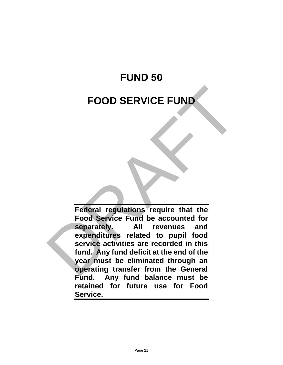# **FUND 50 FOOD SERVICE FUND**

**Federal regulations require that the Food Service Fund be accounted for separately. All revenues and expenditures related to pupil food service activities are recorded in this fund. Any fund deficit at the end of the year must be eliminated through an operating transfer from the General Fund. Any fund balance must be retained for future use for Food Service.** FOOD SERVICE FUND<br>
Federal regulations require that the<br>
Food Service Fund be accounted for<br>
separately. All revenues and<br>
expenditures related to pupil food<br>
service activities are recorded in this<br>
fund. Any fund deficit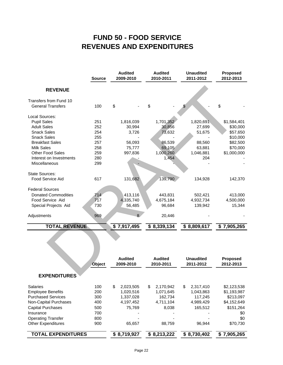### **REVENUES AND EXPENDITURES FUND 50 - FOOD SERVICE**

|                            | <b>Source</b> | <b>Audited</b><br>2009-2010 | <b>Audited</b><br>2010-2011 | <b>Unaudited</b><br>2011-2012 | <b>Proposed</b><br>2012-2013 |
|----------------------------|---------------|-----------------------------|-----------------------------|-------------------------------|------------------------------|
| <b>REVENUE</b>             |               |                             |                             |                               |                              |
| Transfers from Fund 10     |               |                             |                             |                               |                              |
| <b>General Transfers</b>   | 100           | \$                          | \$                          | \$                            | \$                           |
| Local Sources:             |               |                             |                             |                               |                              |
| <b>Pupil Sales</b>         | 251           | 1,816,039                   | 1,701,352                   | 1,820,691                     | \$1,584,401                  |
| <b>Adult Sales</b>         | 252           | 30,994                      | 30,856                      | 27,699                        | \$30,000                     |
| <b>Snack Sales</b>         | 254           | 3,726                       | 73,632                      | 51,675                        | \$57,650                     |
| <b>Snack Sales</b>         | 255           |                             |                             |                               | \$10,000                     |
| <b>Breakfast Sales</b>     | 257           | 56,093                      | 86,539                      | 88,560                        | \$82,500                     |
| <b>Milk Sales</b>          | 258           | 75,777                      | 69,105                      | 63,881                        | \$70,000                     |
| <b>Other Food Sales</b>    | 259           | 997,836                     | 1,000,260                   | 1,046,881                     | \$1,000,000                  |
| Interest on Investments    | 280           |                             | 1,454                       | 204                           |                              |
| Miscellaneous              | 299           |                             |                             |                               |                              |
| <b>State Sources:</b>      |               |                             |                             |                               |                              |
| Food Service Aid           | 617           | 131,682                     | 139,790                     | 134,928                       | 142,370                      |
| <b>Federal Sources</b>     |               |                             |                             |                               |                              |
| <b>Donated Commodities</b> | 714           | 413,116                     | 443,831                     | 502,421                       | 413,000                      |
| Food Service Aid           | 717           | 4,335,740                   | 4,675,184                   | 4,932,734                     | 4,500,000                    |
| Special Projects Aid       | 730           | 56,485                      | 96,684                      | 139,942                       | 15,344                       |
| Adjustments                | 969           | 8                           | 20,446                      |                               |                              |
| <b>TOTAL REVENUE</b>       |               | \$7,917,495                 | \$8,339,134                 | \$8,809,617                   | \$7,905,265                  |
|                            |               |                             |                             |                               |                              |
|                            |               |                             |                             |                               |                              |
|                            | Object        | <b>Audited</b><br>2009-2010 | <b>Audited</b><br>2010-2011 | <b>Unaudited</b><br>2011-2012 | <b>Proposed</b><br>2012-2013 |
|                            |               |                             |                             |                               |                              |
| <b>EYPENDITURES</b>        |               |                             |                             |                               |                              |

| <b>Object</b>             |     | <b>Audited</b><br>2009-2010 | <b>Audited</b><br>2010-2011 | <b>Unaudited</b><br>2011-2012 | <b>Proposed</b><br>2012-2013 |  |
|---------------------------|-----|-----------------------------|-----------------------------|-------------------------------|------------------------------|--|
| <b>EXPENDITURES</b>       |     |                             |                             |                               |                              |  |
| <b>Salaries</b>           | 100 | \$<br>2,023,505             | \$<br>2.170.942             | \$<br>2,317,410               | \$2,123,538                  |  |
| <b>Employee Benefits</b>  | 200 | 1.020.516                   | 1,071,645                   | 1,043,863                     | \$1,193,987                  |  |
| <b>Purchased Services</b> | 300 | 1,337,028                   | 162,734                     | 117,245                       | \$213,097                    |  |
| Non-Capital Purchases     | 400 | 4,197,452                   | 4,711,104                   | 4,989,429                     | \$4,152,649                  |  |
| <b>Capital Purchases</b>  | 500 | 75,769                      | 8,038                       | 165,512                       | \$151,264                    |  |
| Insurance                 | 700 |                             |                             |                               | \$0                          |  |
| <b>Operating Transfer</b> | 800 |                             |                             |                               | \$0                          |  |
| <b>Other Expenditures</b> | 900 | 65,657                      | 88,759                      | 96.944                        | \$70,730                     |  |
| <b>TOTAL EXPENDITURES</b> |     | \$8,719,927                 | 8,213,222                   | 8,730,402<br>S                | 7,905,265<br>S               |  |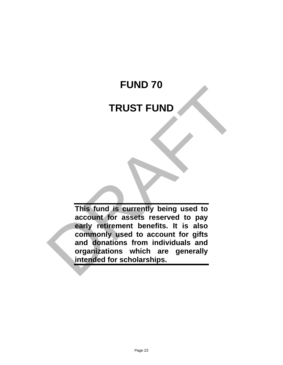# **FUND 70**

### **TRUST FUND**

**This fund is currently being used to account for assets reserved to pay early retirement benefits. It is also commonly used to account for gifts and donations from individuals and organizations which are generally intended for scholarships.** FUND 70<br>
TRUST FUND<br>
This fund is currently being used to<br>
account for assets reserved to pay<br>
early refirement benefits. It is also<br>
commonly used to account for gifts<br>
and donations from individuals and<br>
organizations wh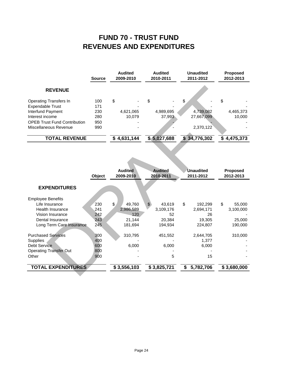### **REVENUES AND EXPENDITURES FUND 70 - TRUST FUND**

|                                     | <b>Source</b> | Audited<br>2009-2010 |             | <b>Audited</b><br>2010-2011 |             | <b>Unaudited</b><br>2011-2012 |              | <b>Proposed</b><br>2012-2013 |           |
|-------------------------------------|---------------|----------------------|-------------|-----------------------------|-------------|-------------------------------|--------------|------------------------------|-----------|
| <b>REVENUE</b>                      |               |                      |             |                             |             |                               |              |                              |           |
| Operating Transfers In              | 100           | \$                   |             | \$                          |             |                               |              | \$                           |           |
| <b>Expendable Trust</b>             | 171           |                      |             |                             |             |                               |              |                              |           |
| Interfund Payment                   | 230           |                      | 4,621,065   |                             | 4,989,695   |                               | 4,739,082    |                              | 4,465,373 |
| Interest income                     | 280           |                      | 10.079      |                             | 37.993      |                               | 27,667,099   |                              | 10.000    |
| <b>OPEB Trust Fund Contribution</b> | 950           |                      |             |                             |             |                               |              |                              |           |
| Miscellaneous Revenue               | 990           |                      |             |                             |             |                               | 2,370,122    |                              |           |
| <b>TOTAL REVENUE</b>                |               |                      | \$4,631,144 |                             | \$5,027,688 |                               | \$34,776,302 | S                            | 4,475,373 |

| <b>REVENUE</b>                                               |            |                |                        |                  |              |
|--------------------------------------------------------------|------------|----------------|------------------------|------------------|--------------|
| <b>Operating Transfers In</b>                                | 100        | \$             | \$                     | \$               | \$           |
| <b>Expendable Trust</b>                                      | 171        |                |                        |                  |              |
| Interfund Payment                                            | 230        | 4,621,065      | 4,989,695              | 4,739,082        | 4,465,373    |
| Interest income                                              | 280        | 10,079         | 37,993                 | 27,667,099       | 10,000       |
| <b>OPEB Trust Fund Contribution</b><br>Miscellaneous Revenue | 950<br>990 |                |                        | 2,370,122        |              |
|                                                              |            |                |                        |                  |              |
| <b>TOTAL REVENUE</b>                                         |            | \$4,631,144    | \$5,027,688            | \$34,776,302     | \$4,475,373  |
|                                                              |            | <b>Audited</b> | <b>Audited</b>         | <b>Unaudited</b> | Proposed     |
|                                                              | Object     | 2009-2010      | 2010-2011              | 2011-2012        | 2012-2013    |
| <b>EXPENDITURES</b>                                          |            |                |                        |                  |              |
| <b>Employee Benefits</b><br>Life Insurance                   | 230        | \$<br>49,760   | $\mathbb{S}$<br>43,619 | \$<br>192.299    | \$<br>55.000 |
| <b>Health Insurance</b>                                      | 241        | 2,986,589      | 3,109,176              | 2,694,171        | 3,100,000    |
| Vision Insurance                                             | 242        | 120            | 52                     | 26               |              |
| Dental Insurance                                             | 243        | 21,144         | 20,384                 | 19,305           | 25,000       |
| Long Term Care Insurance                                     | 245        | 181,694        | 194,934                | 224,807          | 190,000      |
| <b>Purchased Services</b>                                    | 300        | 310,795        | 451,552                | 2,644,705        | 310,000      |
| Supplies                                                     | 400        |                |                        | 1,377            |              |
| <b>Debt Service</b>                                          | 600        | 6,000          | 6,000                  | 6,000            |              |
| <b>Operating Transfer Out</b>                                | 800        |                |                        |                  |              |
| Other                                                        | 900        |                | 5                      | 15               |              |
| <b>TOTAL EXPENDITURES</b>                                    |            | \$3,556,103    | \$3,825,721            | \$<br>5,782,706  | \$3,680,000  |
|                                                              |            |                |                        |                  |              |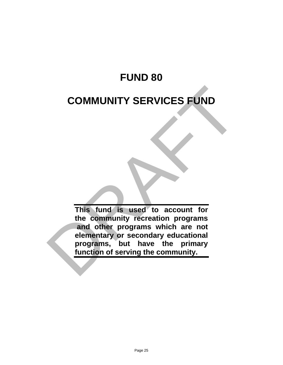## **FUND 80**

## **COMMUNITY SERVICES FUND**

**This fund is used to account for the community recreation programs and other programs which are not elementary or secondary educational programs, but have the primary function of serving the community.** COMMUNITY SERVICES FUND<br>This fund is used to account for<br>the community recreation programs<br>and other programs which are not<br>elementary or secondary educational<br>programs, but have the primary<br>function of serving the communi